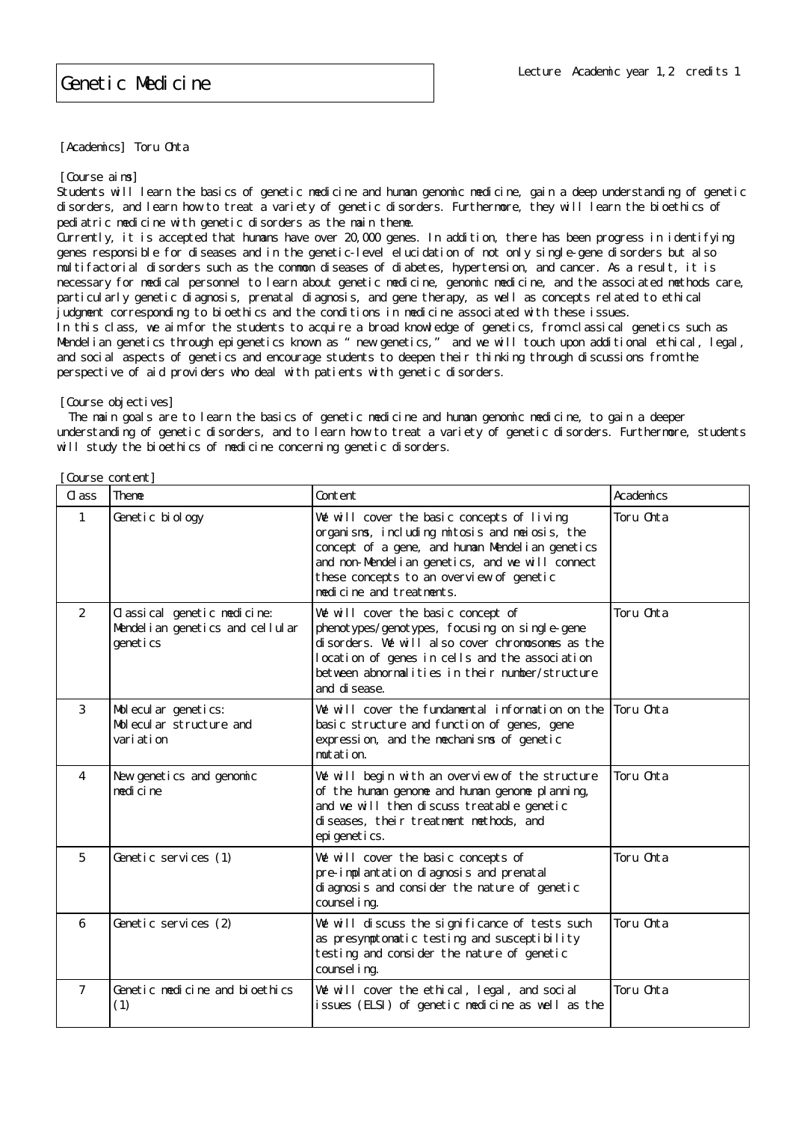## Genetic Medicine

[Academics] Toru Ohta

[Course aims]

Students will learn the basics of genetic medicine and human genomic medicine, gain a deep understanding of genetic disorders, and learn how to treat a variety of genetic disorders. Furthermore, they will learn the bioethics of pediatric medicine with genetic disorders as the main theme.

Currently, it is accepted that humans have over 20,000 genes. In addition, there has been progress in identifying genes responsible for diseases and in the genetic-level elucidation of not only single-gene disorders but also multifactorial disorders such as the common diseases of diabetes, hypertension, and cancer. As a result, it is necessary for medical personnel to learn about genetic medicine, genomic medicine, and the associated methods care, particularly genetic diagnosis, prenatal diagnosis, and gene therapy, as well as concepts related to ethical judgment corresponding to bioethics and the conditions in medicine associated with these issues. In this class, we aim for the students to acquire a broad knowledge of genetics, from classical genetics such as Mendelian genetics through epigenetics known as "new genetics," and we will touch upon additional ethical, legal, and social aspects of genetics and encourage students to deepen their thinking through discussions from the perspective of aid providers who deal with patients with genetic disorders.

[Course objectives]

 The main goals are to learn the basics of genetic medicine and human genomic medicine, to gain a deeper understanding of genetic disorders, and to learn how to treat a variety of genetic disorders. Furthermore, students will study the bioethics of medicine concerning genetic disorders.

| Cl ass         | Theme                                                                         | Content                                                                                                                                                                                                                                                                     | Academics |
|----------------|-------------------------------------------------------------------------------|-----------------------------------------------------------------------------------------------------------------------------------------------------------------------------------------------------------------------------------------------------------------------------|-----------|
| 1              | Genetic biology                                                               | We will cover the basic concepts of living<br>organisms, including mitosis and meiosis, the<br>concept of a gene, and human Mendel i an genetics<br>and non-Mendelian genetics, and we will connect<br>these concepts to an overview of genetic<br>medicine and treatments. | Toru Chta |
| 2              | Classical genetic medicine:<br>Mendel i an genetics and cellular<br>geneti cs | We will cover the basic concept of<br>phenotypes/genotypes, focusing on single-gene<br>disorders. We will also cover chromosomes as the<br>location of genes in cells and the association<br>between abnormalities in their number/structure<br>and di sease.               | Toru Chta |
| 3              | Molecular genetics:<br>Molecular structure and<br>vari ati on                 | We will cover the fundamental information on the<br>basic structure and function of genes, gene<br>expression, and the mechanisms of genetic<br>mutation.                                                                                                                   | Toru Chta |
| 4              | New genetics and genomic<br>medi ci ne                                        | We will begin with an overview of the structure<br>of the human genome and human genome pl anning,<br>and we will then discuss treatable genetic<br>di seases, their treatment methods, and<br>epi geneti cs.                                                               | Toru Chta |
| 5              | Genetic services (1)                                                          | We will cover the basic concepts of<br>pre-implantation diagnosis and prenatal<br>di agnosis and consider the nature of genetic<br>counsel i ng.                                                                                                                            | Toru Chta |
| 6              | Genetic services (2)                                                          | We will discuss the significance of tests such<br>as presymptomatic testing and susceptibility<br>testing and consider the nature of genetic<br>counsel i ng.                                                                                                               | Toru Chta |
| $\overline{7}$ | Genetic medicine and bioethics<br>(1)                                         | We will cover the ethical, legal, and social<br>issues (ELSI) of genetic medicine as well as the                                                                                                                                                                            | Toru Chta |

[Course content]